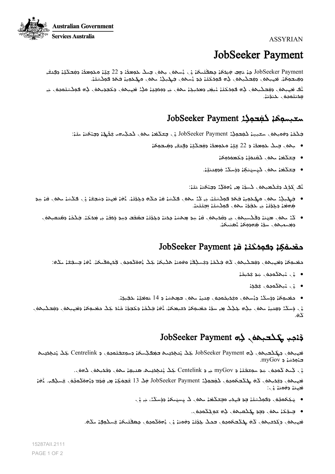

# JobSeeker Payment

ܵJobSeeker Payment جا خەنە بەنگە چەقتىڭا ئى ئىسھەن بەن چىگ ھومدا و 22 <del>ي</del>تا مھومدا و<del>بەد</del>لاتا و<mark>ق</mark>تى ܲ ܲ ܲ  $\overline{a}$  $\begin{array}{c} \hline \end{array}$ ܲ ܵ  $\overline{a}$ ܲ ܵ  $\overline{a}$ دَهْنْدْهُمْ. فْعِنْكُمْ بِهِ وَجَدْتُكُمْ وَجَدْ نَقْدَةً مِنْ يَسْكُمْ ۖ وَجُدْدَةً مِنْ مَهْدِينَ فَكُمْ فَوَكْسَةَ ܲ ܲ ܲ .<br>. ܲ  $\ddot{\phantom{a}}$ ܲ ܲ ܲ ܲ  $\ddot{a}$ 

 $\mathbf{\hat{B}}$ ق  $\mathbf{\hat{S}}$ هر ډېلى دى لار قودكتا دىغى دى دىكى دىكى ئى دەدلىكا مۇڭ قىيىمە ، دېكىجىمە ، كى قوڭشقەمە ، ئى ܲ  $\overline{\phantom{a}}$ ܲ ܲ ܲ  $\begin{array}{c}\n\hline\n\end{array}$ ܲ ܲ ܲ يخختمجه كخججه. ܵ ܲ  $\begin{array}{c}\n\hline\n\end{array}$ 

## Aمتبسەكە كېتىمۇنى JobSeeker Payment ܲ ܵ

جَلْحَة جَوْمَجِمْ دِهِدِيْدْ جَامِحِينْ كَاobSeeker Payment يَا يَحَكْفُهُ مِهْلِ لَحَكِيْتِ جَيْنِهُمْ جَدْي ܲ ܲ ܲ ܵ  $\frac{1}{2}$ ܲ ܲ

- أجماح جلك لدوهدُ: و 22 جَيْنَ مَدوهدُ: وَجَعَدُنْهُ: وَقِعَدُ وَجَعَدُ مَعْ ܵ ܲ ܵ  $\overline{a}$ ܲ ܵ  $\overline{a}$ 
	- <del>يح</del>ك<del>م</del>ْ; عمه حكمه مكعدة من ܲ ܲ ܲ
	- <del>ي</del>ـ<del>ـدلام</del>د مهر، لهسهدي وذٍسلاء ووينديّة.  $\overline{a}$ ܲ ܲ ܼ ܲ ܵ

 $\Sigma$ ګ  $\Sigma$ ْڊَ $\Lambda$  جَعْدَ $\lambda$ ەن دَ  $\lambda$ ەتْ $\Lambda$  مَدَ  $\Sigma$  بَعْدَ  $\Sigma$  : 1 ܵ ܲ ܵ ܲ ܵ ܲ ܵ

- ܐ ܢ ܩ ܵܚܐ ܝܬܘ ܐ ܐܸܢ ܦܠ ܵ ܐ ܕ ܵܚ ݂ܒܫ ܨܝܵ ܐ ܡ ܵ ܗ ܵ ܐ. ܐ ܢ ܕ ܸܥܕ ܗ ܐ ܟܠ ܵ ܵܚܐ ܩ ܢ ܦܠ ܵ ܐ ܝܬܘ ܢ ܠ ܵ ܐ، ܼܝܲ ܪ ܦ ܼܘܠ ܵܚܢ ܬ ݇ ܥ ܼܘܝܹܐ ܒ ܵ <sup>ܢ</sup> <sup>ܘ</sup> ܼܛ ܲ ܛ ܼܝܠܹܐ ܝܬܘ ܼܒ ܕ ܼܚ ܲ ܵ ܲ ܵ ܵ  $\frac{1}{2}$ ܵ ֧֦֧֦֧֦֧֦֧֚֬ ܵ ܲ  $\ddot{\phantom{a}}$ ܲ ܲ جس حسب حججة محمد المسابق المسابق المسابق المسابق المسابقة بالمسابقة من المسابقة المسابقة المسابقة ال  $\frac{1}{2}$  $\overline{a}$ ܲ ܼ ܵ ܲ ܵ ܵ ܵ
	- ܕ ܐ ܼܚ ܲ ܢ ܩ ܪ ܼܝܬܘ ܢ ܕܩ ܢ ܼܝܲ ܠܚ ܼܝܬܘ ܐ ܕܦ ܢ ܡ ܵܨܝܵ ܐ ܝܬܘ ܠ ܢ ܢܩ ܼܝܬܘ ܐ ܕܣ ܵ ܠܟܵ ܐ. ܼܒ ܪܥ ܵ ܢ ܼܡ ܲ ܐ ܼܝܲ ܪܒ ܵ ܕ ܼܕ ܒ ܕ ܼܚ ܲ ܒ ܵ ܐ ܒܣ ܵ ܢ ܐ ܕ ܸܥܕ ܸܡܬ ܵܚܐ ܟܸܪܝܵ ܵ ܲ ܵ ܲ  $\begin{array}{c} \hline \end{array}$ ܲ ܵ ܲ ܲ ܲ  $\ddot{\phantom{a}}$ ܵ ܐ. ܝܬ ܵ ܣܝܵ ܐ ܐ ܗܕ ܼܘܬ ܵ ܐ ܼܣ ܲ ܢ ܚܕ ܚܙ ܼܝܬܘ ܕ ܼܡ ܲ ܵ ܵ ܲ

#### دىخىمەك ئولمودىكنىڭ ئاتا JobSeeker Payment ܵ ܵ ֦֧֦֧֦֧֦֧֦֧֦֧֦֧֡֬ ܵ ܵ

دفىمة، دفىمهم دفعطه دفعة شكذا دخميكا مقما هكبة، بكد بمفكمهم كدوفقية. 161 جيختا يكف ܵ ܲ ܲ ֦ ܲ ܲ ܲ ܵ ֦֧ ܵ ܵ ܵ ܲ ܲ ܲ ܵ ܲ

- ٤<sub>، </sub>ے ، دیکھوں سو <del>ہ</del>ٰدیکے ܲ ܲ
	- ٤<sub>، </sub>٢. ٢.متحدم , <del>١٩</del> 1 ܲ ܲ
- مغموكة وذمكة ونسمق مخميقومق هدية ممق حعممة و 14 موفقة بحجيد. ܲ ܲ ܲ ܲ ܲ ܲ ܵ í  $\overline{\phantom{a}}$

ے، ڈِسکّے دوسیے ہماں، جگِم چکک مے سوّے مصُبوکی فعہد شہد اور شکتی ویکھونے کرد مقدوکی وقعہداں، وف<mark>ع</mark>کمان، ܵ ܲ ܲ ܲ ܲ ܲ ܵ ܲ ܵ .<br>لار ֦

### ڈنجہ چُلکتبھٹہ کہ JobSeeker Payment ܲ ܵ

مىجەنى دېڭلىنى ئە JobSeeker Payment بىلى يىچەيىم <del>دىجەن</del>سىم دېم<del>ىد ئ</del>ىمومەن دې Centrelink بىلى يىچەيىم ܲ ܲ ܵ ܲ  $\ddot{a}$ د۱م:4×4 × myGov.

> د کمونی شو سو<del>یدن</del>نه و myGov ښو Centelink کې دیکونیم، هینهه نمول و<del>ن</del>کونمول کې. ܵ ܲ ܲ ܲ ܲ ܲ ܲ

ىمەن دېخدىمەن كەن ككىگەمچەن كەندەكى JobSeeker Payment ۋە 13 خچەكد يې مۇت دېلەقگەچەن جىنىلىپ، ئەند ܲ ܲ ֧֦֧֦֧֦֧֦֧֦֧֦֧֦֧֦֧֦֧֬֜֜֜֜ ܲ ܲ ܲ ܲ ܵ ܲ ܲ  $\overline{\phantom{a}}$ ܵ ܲ ݇ ܲ ܲ ܵ ،<br>محيكة جمعة جنية

- $\bullet$  پنجگەتە ، دېملىند چو تىخى ەچتىكغد مەن ك $\lambda$ پىيىگە دېمىك  $\overline{a}$ ܲ  $\overline{a}$ ܲ ܲ
	- <del>ی</del>ہثکۂ ہمنی ډ<del>ی</del>ډ <del>ہلاس</del>ہمنی <mark>ڈِی عولیکم</mark>ونی۔ ܲ ܲ ܲ ܵ

<del>ۿ</del>ۍجەن، *دِێڎ<del>ت</del>جەن، ݣ<del>ﻪ ﭼ</del>ﯩﯖ<del>ﺪ</del>ﯕﻪﻣﻪ، <del>ﺩ</del>ﯩﺪ ﭼﯘﺋﯘ ﺩﻩﻩ ﺋﯘ ﭘﺎ ﯞﻩﻩﯕﻪﻣﻪﻥ ﭼﻤﯘﺋﯩﯖﯘ <del>ﺋ</del>ﯩﻠﻤﯘﯞ ﺋﯘ ﻣ* ܲ ܲ ܵ ֦֘ ܲ  $\ddot{\phantom{a}}$ ܵ ܲ ܵ ܲ  $^{\circ}$ ܵ ܲ ֡֡֡֡֡֡֡֡֡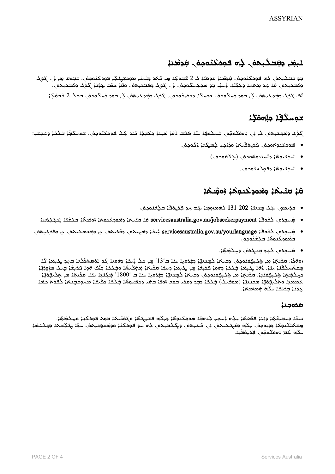### دْ، جُبْ جِبَاحِكْمَهِ جَمْعَ مِنْ رَجْم كتمام الله عنه ܲ ܲ ܵ ܲ ܲ

<del>ی</del>دِ <del>ښد</del>کہمنی کِی قودکتمونی ښوهد مودخا کا 2 څخمکِا هے خکد ویُسی مودیہککے قودکتمونی، عجمٰف هے ی<sub>ے ن</sub>کذِک ܲ ܲ  $\frac{1}{2}$ ܲ ܲ ܲ ܲ  $\frac{1}{2}$ ܲ ܲ ܲ ܲ جستان المستقدر المستقدم المستقدم المستقدم المستقدم المستقدم المستقدم المستقدم المستقدم المستقدم المستقدم المست<br>جغت جست جمان المستقدم المستقدم المستقدم المستقدم المستقدم المستقدم المستقدم المستقدم المستقدم المستقدم المستقد ܲ ܲ  $\ddot{\phantom{a}}$ ܵ ܵ ܲ ܲ ܲ ܲ 。<br>。  $\frac{1}{2}$ ܵ ܵ ܲ  $\Sigma$ ف  $\Sigma$ ذِک ډېجىکېمە دِب كې خود دېمگەچە ، مدېمكر دېندېقەچە ، زىدىک دېندېكمە ، دې دېمكوچە ، خمك 2 شخەنك ܲ ܲ ܲ ܲ ܲ ܲ ܲ ܲ ܲ ܲ ܲ ܲ ܲ ܲ ܵ

### <del>ى</del>ممك<del>ةٍ</del>، مەھك*د* 1 ܵ ܲ ܵ

.<br>كۈك دۈددىكەن. كى يى ئەقكەچەن جىنگوفى غى ھُچى ئۇن ھىنى دېگىۋى كىڭ قومۇنگىمونى. <del>م</del>وسك<mark>قى جگچى</mark> دەيجىن ܲ 1 ܲ  $\frac{1}{2}$ ܵ  $\ddot{\phantom{a}}$ ܲ ܲ  $\overline{a}$ ܵ ܲ ܲ ܲ ܲ ܵ

- ܢ ܘ ݂ܟܘ ܐ ܐܸܠ ܵ ܝܵ <sup>ܐ</sup> ݂ܟ ܼܝ ܠܸܡܛ ܵ ܐ ܘܕ ܝܬ ܵ ܦ ܪܨܘ ܢ ܼܦ ܘ ݂ܟܘ ܢ ܼܘܬ ܵ ܘܕܥ ܵ ܡ ܵ ܲ ܵ  $\begin{array}{c} \hline \end{array}$ ܲ ܲ ܲ
	- ܢ ) ܹܥܠ ܵ ܘ ݂ܟܘ ܚܝܵܢ ܼܘܬ ܵ ܐ ܕܐ ܝ ܼܘܬ ܵ ܢ ܝ ܼܟ ܼܐ ܢ( ܘ ݂ܟܘ ܩ ܵ ܲ ݇ ܵ ܲ ܲ ܲ
		- ܢ. ܘ ݂ܟܘ ܐ ܕܦ ܼܘܠ ܵܚܢ ܝ ܼܘܬ ܵ ܢ ܝ ܼܟ ܼܐ ܲ  $\frac{1}{2}$  $^{\circ}$ ܲ ܲ

### ڞڶڡڬ؉ڋ ډڞڡ؋ۥێڬؠ؋ػڋ؇ۏ؋ؽػ؉ ܵ ܵ  $^{\prime}$ ܵ

- ܐ ܠ ܸܡܢܝܵܢ ܩܪܹܝܡ ܼܘܢ ܼܥ 202 131 ܢ ܘ ݂ܟܘ ܢ ܐ ܒܠܸܫ ܦ ܪܨܘ ܕ ܼܦ ܡ ܼܚ ܲ ܡܙ ܼܘ ܹܡܐ ܼܥ ܲ ܠ ܼܗ  $\frac{1}{2}$ ܲ ܲ  $^{\circ}$ ܵ ܲ ܲ ܲ
- جستيدون دڅمقه servicesaustralia.gov.au/jobseekerpayment شمکه وهمونديوهه ومؤيده تحلي اليکهه  $\begin{array}{c} \hline \end{array}$ ܵ ܲ ܵ ܵ  $\frac{1}{2}$ ܵ  $\frac{1}{2}$ ܵ
- ﴿ هِسْتِدُهِنْ كَتُمْكُمْ servicesaustralia.gov.au/yourlanguage بْنْمْ دِتَعْيِنِهِمْنْ دِتَمْكِيْهِمْ ﴾ شَد  $\begin{array}{c} \hline \end{array}$ ܵ ܲ ܲ ܲ ܲ ܲ ܵ ܲ ܲ .<br>دهمونختم ها د کشومه ܲ ׅ֔֕ ܵ
	- ﴿ ﴿ جَمَعِيْدِهِ ﴾ لاَ يَدِدِ عِنْهُدُونَ ۖ وَ يَخْلِجُكُمْ. ܲ

وەقۇد: ھڭتېز ھى ھِڭبۇەتمەمە، دېنىڭز كھىنتز دېدەمز بنا 13°، ھى مڭ ئېغز دەمنز كە دەھھۇڭىز قابد <mark>بكاشز ك</mark>ا ܲ ܲ  $\ddot{\phantom{a}}$ ܲ ܵ ܵ ܵ ܵ ܲ  $\overline{a}$ ܵ ܲ ܲ ܲ ܼ يَحْجَسَكَكُمْ نُمْ، نُهُمْ نَجْمَةٍ كُمُوْ، كَمُمْ دَوْمٍ، قَدِيمٌ، مِنْ مَجْمَةٍ مِنْهُمْ مِدْوَةٍ، وَمَنْهُ ܵ ׅ֘֒֝֘ ܲ ܲ ܵ ܵ ܵ ܲ ֬֘֝֕ ܵ ܵ ܲ  $\overline{\phantom{a}}$ ܵ جَسِكَعِمْ هِكْبِهِمْتَيْنَ طَمْعَةٍ مِنْ هِكْبِهِمْتُمْوْمِنْ، وَجْنَمْهُمْ كَعِيْدَيْهُ وَجَوْمِهِمْ بِنَدْ ف ܵ  $\ddot{\phantom{a}}$ ܲ ܲ  $\ddot{\phantom{a}}$ ܲ ܲ ܲ ܵ ܲ ܲ ܵ ܵ  $\ddot{\phantom{a}}$ ܵ ۦ ؖڝۼڿؠٞۛ ۜڡۿۭۮؠۊۜڡۊڋۦۜڡۼٮٮؠٞؠٛۜ (ڡڡ۫ڞۜۮ) جۮڬۦٛ؋ؾڋۦۊڡڣۥۦڐڡۭڡ؞ۊڡؙۼ؞ۄڞؠۿؽ؋ڂڎۼ؞ٚ؋ڡۜٞٮ۠ڠۦ؋ڝڡڡڡؾؾؽۿؽ؞ۮڰڡۿ؞ۧڂڠڋ ܲ ܵ ܵ ܲ ֚֚֬ ܵ ܵ ܵ ܲ ܲ  $\overline{\phantom{a}}$ ܲ  $\overline{a}$ ܲ ܲ جَجَبْ يَجْمَدُ حَكَمَ مَعْبَهَمْ. ܵ ܵ ܲ ܼ ܲ ̇

## هذەبخة

ܹ ىك جسجيكري جلنز فكمكر بكِم بسجر كنمجر فعونكنوها جبكم فحبهكار مكفتيكا فمة فودكيا مسكفها.  $\ddot{\phantom{a}}$  $\ddot{\phantom{a}}$ ܵ ֧֦֧֦֧֦֧֦֧֚֬ ܲ ؚ<br>ا ܲ ܵ ܵ ܩܪܸ <sup>ܐ</sup> ܘܕ ܼܡ ܲ ܢ <sup>ܕ</sup> <sup>ܦ</sup> ܼܘܪܥ ܵ ܢ ܠܹܗ ܼܚ ܲ ܵܛܠܒ ܼܝܬܘ ܢ ܕ ܥ ܼܝܬܘ ܢ ܐܸܢ ܒ ܵ ܛܥ ܼܝܬܘ ܕܩ ܗ <sup>ܢ</sup> ܼܝܠ ܵ ܐ ܕܕ ܼܝܵܘ ݂ܟܘ ܢ ܼܘܬ ܵ ܐܠ ܵ ܸܡܫ ܼܬ ܐ ܐ ܕ ܸܒܠ ܵܚܡ ܵ ܒܬ ܵ <sup>ܐ</sup> <sup>ܛ</sup> ܼܠ ܲ ܢ ܚܕ ݂ܒ ܼܝܬܘ  $\ddot{a}$ ܲ ܲ ܲ ܵ ֚֚֬ ܲ ܲ ܵ ܲ ܝܹܐ ܦ ܨܘ ܪ ܢ ܼܦ ܘ ܘ ݂ܟ ܠ ܵ ܗܘ ܡ ܼܐ ܼܥ ܲ ܗ ܝܠ .ܲ ֖֖֪ׅ֚֚֚֚֚֚֚֚֚֚֚֚֚֚֚֚֚֡֡֡֡֡֡֡֡֡֡֡֞֡֡֡֟֓֡֡֞֟ ܲ ܲ  $\overline{a}$ ܵ ܲ ֖֦֧֦֧֦֧֦֧֦֧֦֧֢ׅ֧֦֧ׅ֧֦֧ׅ֦֧֦֧֚֚֚֬֜֓֜֓֜֓֞֡֜֬ ܵ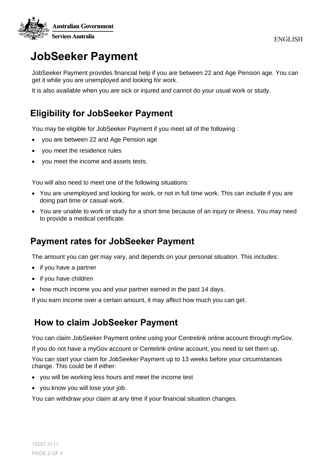

ENGLISH

# **JobSeeker Payment**

JobSeeker Payment provides financial help if you are between 22 and Age Pension age. You can get it while you are unemployed and looking for work .

It is also available when you are sick or injured and cannot do your usual work or study .

## **Eligibility for JobSeeker Payment**

You may be eligible for JobSeeker Payment if you meet all of the following :

- you are between 22 and Age Pension age
- you meet the residence rules
- you meet the income and assets tests.

You will also need to meet one of the following situations:

- You are unemployed and looking for work, or not in full time work. This can include if you are doing part time or casual work.
- You are unable to work or study for a short time because of an injury or illness. You may need to provide a medical certificate .

## **Payment rates for JobSeeker Payment**

The amount you can get may vary, and depends on your personal situation. This includes :

- if you have a partner
- if you have children
- how much income you and your partner earned in the past 14 days.

If you earn income over a certain amount, it may affect how much you can get.

## **How to claim JobSeeker Payment**

You can claim JobSeeker Payment online using your Centrelink online account through myGov.

If you do not have a myGov account or Centelink online account, you need to set them up.

You can start your claim for JobSeeker Payment up to 13 weeks before your circumstances change. This could be if either:

- you will be working less hours and meet the [income test](https://www.servicesaustralia.gov.au/individuals/services/centrelink/jobseeker-payment/how-much-you-can-get/income-and-assets-tests/income-test)
- you know you will lose your job.

You can withdraw your claim at any time if your financial situation changes .